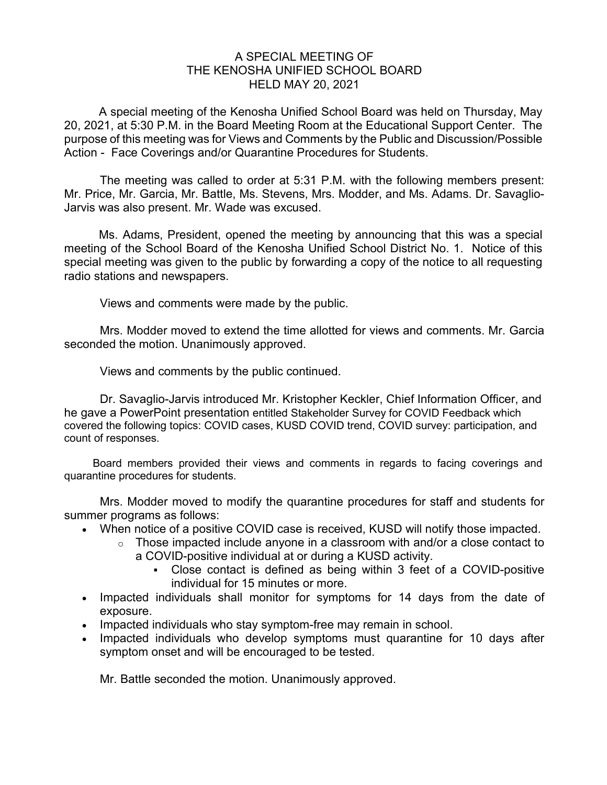## A SPECIAL MEETING OF THE KENOSHA UNIFIED SCHOOL BOARD HELD MAY 20, 2021

A special meeting of the Kenosha Unified School Board was held on Thursday, May 20, 2021, at 5:30 P.M. in the Board Meeting Room at the Educational Support Center. The purpose of this meeting was for Views and Comments by the Public and Discussion/Possible Action - Face Coverings and/or Quarantine Procedures for Students.

The meeting was called to order at 5:31 P.M. with the following members present: Mr. Price, Mr. Garcia, Mr. Battle, Ms. Stevens, Mrs. Modder, and Ms. Adams. Dr. Savaglio-Jarvis was also present. Mr. Wade was excused.

Ms. Adams, President, opened the meeting by announcing that this was a special meeting of the School Board of the Kenosha Unified School District No. 1. Notice of this special meeting was given to the public by forwarding a copy of the notice to all requesting radio stations and newspapers.

Views and comments were made by the public.

Mrs. Modder moved to extend the time allotted for views and comments. Mr. Garcia seconded the motion. Unanimously approved.

Views and comments by the public continued.

Dr. Savaglio-Jarvis introduced Mr. Kristopher Keckler, Chief Information Officer, and he gave a PowerPoint presentation entitled Stakeholder Survey for COVID Feedback which covered the following topics: COVID cases, KUSD COVID trend, COVID survey: participation, and count of responses.

Board members provided their views and comments in regards to facing coverings and quarantine procedures for students.

Mrs. Modder moved to modify the quarantine procedures for staff and students for summer programs as follows:

- When notice of a positive COVID case is received, KUSD will notify those impacted.
	- $\circ$  Those impacted include anyone in a classroom with and/or a close contact to a COVID-positive individual at or during a KUSD activity.
		- Close contact is defined as being within 3 feet of a COVID-positive individual for 15 minutes or more.
- Impacted individuals shall monitor for symptoms for 14 days from the date of exposure.
- Impacted individuals who stay symptom-free may remain in school.
- Impacted individuals who develop symptoms must quarantine for 10 days after symptom onset and will be encouraged to be tested.

Mr. Battle seconded the motion. Unanimously approved.